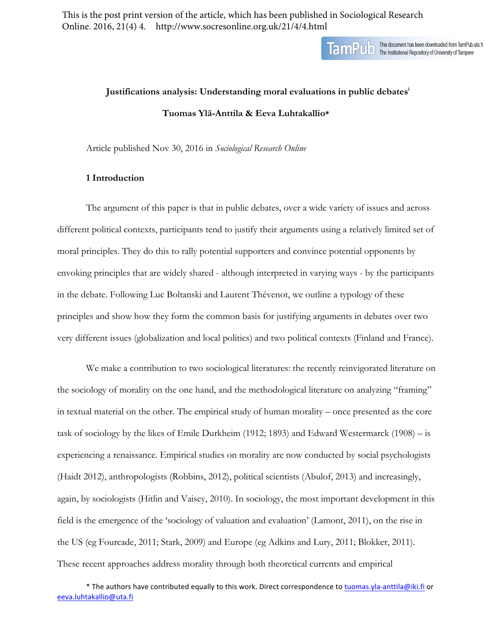This is the post print version of the article, which has been published in Sociological Research Online. 2016, 21(4) 4. http://www.socresonline.org.uk/21/4/4.html



# **Justifications analysis: Understanding moral evaluations in public debatesi Tuomas Ylä-Anttila & Eeva Luhtakallio\***

Article published Nov 30, 2016 in *Sociological Research Online*

# **1 Introduction**

The argument of this paper is that in public debates, over a wide variety of issues and across different political contexts, participants tend to justify their arguments using a relatively limited set of moral principles. They do this to rally potential supporters and convince potential opponents by envoking principles that are widely shared - although interpreted in varying ways - by the participants in the debate. Following Luc Boltanski and Laurent Thévenot, we outline a typology of these principles and show how they form the common basis for justifying arguments in debates over two very different issues (globalization and local politics) and two political contexts (Finland and France).

We make a contribution to two sociological literatures: the recently reinvigorated literature on the sociology of morality on the one hand, and the methodological literature on analyzing "framing" in textual material on the other. The empirical study of human morality – once presented as the core task of sociology by the likes of Emile Durkheim (1912; 1893) and Edward Westermarck (1908) – is experiencing a renaissance. Empirical studies on morality are now conducted by social psychologists (Haidt 2012), anthropologists (Robbins, 2012), political scientists (Abulof, 2013) and increasingly, again, by sociologists (Hitlin and Vaisey, 2010). In sociology, the most important development in this field is the emergence of the 'sociology of valuation and evaluation' (Lamont, 2011), on the rise in the US (eg Fourcade, 2011; Stark, 2009) and Europe (eg Adkins and Lury, 2011; Blokker, 2011). These recent approaches address morality through both theoretical currents and empirical

<sup>\*</sup> The authors have contributed equally to this work. Direct correspondence to tuomas.yla-anttila@iki.fi or eeva.luhtakallio@uta.fi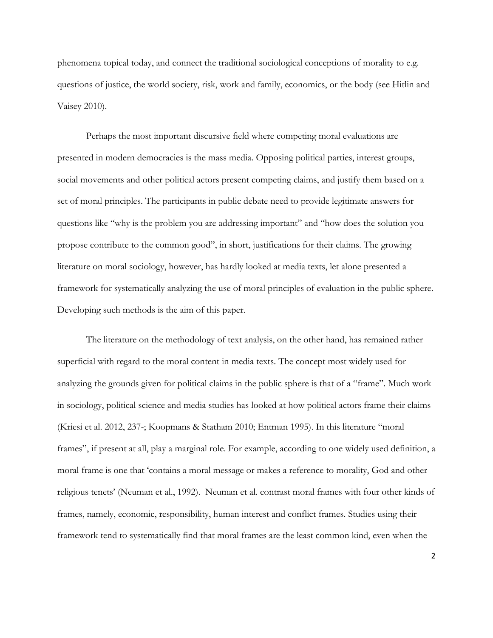phenomena topical today, and connect the traditional sociological conceptions of morality to e.g. questions of justice, the world society, risk, work and family, economics, or the body (see Hitlin and Vaisey 2010).

Perhaps the most important discursive field where competing moral evaluations are presented in modern democracies is the mass media. Opposing political parties, interest groups, social movements and other political actors present competing claims, and justify them based on a set of moral principles. The participants in public debate need to provide legitimate answers for questions like "why is the problem you are addressing important" and "how does the solution you propose contribute to the common good", in short, justifications for their claims. The growing literature on moral sociology, however, has hardly looked at media texts, let alone presented a framework for systematically analyzing the use of moral principles of evaluation in the public sphere. Developing such methods is the aim of this paper.

The literature on the methodology of text analysis, on the other hand, has remained rather superficial with regard to the moral content in media texts. The concept most widely used for analyzing the grounds given for political claims in the public sphere is that of a "frame". Much work in sociology, political science and media studies has looked at how political actors frame their claims (Kriesi et al. 2012, 237-; Koopmans & Statham 2010; Entman 1995). In this literature "moral frames", if present at all, play a marginal role. For example, according to one widely used definition, a moral frame is one that 'contains a moral message or makes a reference to morality, God and other religious tenets' (Neuman et al., 1992). Neuman et al. contrast moral frames with four other kinds of frames, namely, economic, responsibility, human interest and conflict frames. Studies using their framework tend to systematically find that moral frames are the least common kind, even when the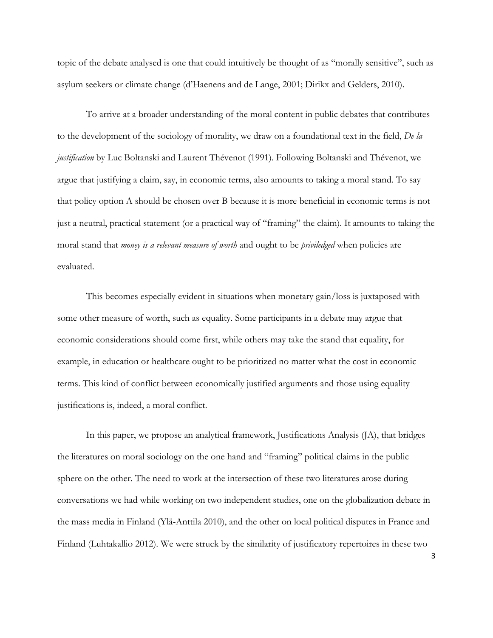topic of the debate analysed is one that could intuitively be thought of as "morally sensitive", such as asylum seekers or climate change (d'Haenens and de Lange, 2001; Dirikx and Gelders, 2010).

To arrive at a broader understanding of the moral content in public debates that contributes to the development of the sociology of morality, we draw on a foundational text in the field, *De la justification* by Luc Boltanski and Laurent Thévenot (1991). Following Boltanski and Thévenot, we argue that justifying a claim, say, in economic terms, also amounts to taking a moral stand. To say that policy option A should be chosen over B because it is more beneficial in economic terms is not just a neutral, practical statement (or a practical way of "framing" the claim). It amounts to taking the moral stand that *money is a relevant measure of worth* and ought to be *priviledged* when policies are evaluated.

This becomes especially evident in situations when monetary gain/loss is juxtaposed with some other measure of worth, such as equality. Some participants in a debate may argue that economic considerations should come first, while others may take the stand that equality, for example, in education or healthcare ought to be prioritized no matter what the cost in economic terms. This kind of conflict between economically justified arguments and those using equality justifications is, indeed, a moral conflict.

In this paper, we propose an analytical framework, Justifications Analysis (JA), that bridges the literatures on moral sociology on the one hand and "framing" political claims in the public sphere on the other. The need to work at the intersection of these two literatures arose during conversations we had while working on two independent studies, one on the globalization debate in the mass media in Finland (Ylä-Anttila 2010), and the other on local political disputes in France and Finland (Luhtakallio 2012). We were struck by the similarity of justificatory repertoires in these two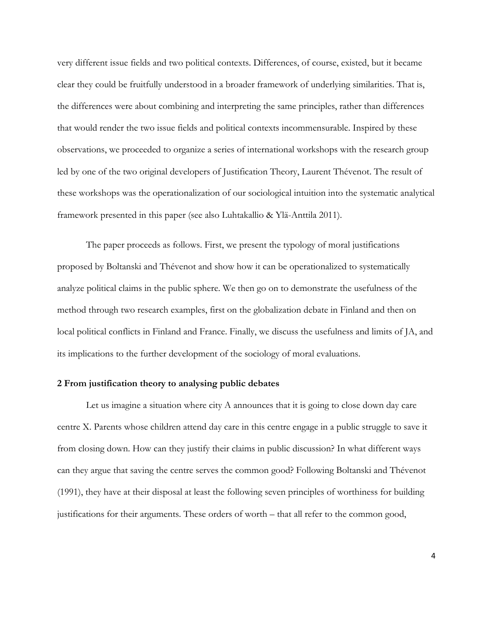very different issue fields and two political contexts. Differences, of course, existed, but it became clear they could be fruitfully understood in a broader framework of underlying similarities. That is, the differences were about combining and interpreting the same principles, rather than differences that would render the two issue fields and political contexts incommensurable. Inspired by these observations, we proceeded to organize a series of international workshops with the research group led by one of the two original developers of Justification Theory, Laurent Thévenot. The result of these workshops was the operationalization of our sociological intuition into the systematic analytical framework presented in this paper (see also Luhtakallio & Ylä-Anttila 2011).

The paper proceeds as follows. First, we present the typology of moral justifications proposed by Boltanski and Thévenot and show how it can be operationalized to systematically analyze political claims in the public sphere. We then go on to demonstrate the usefulness of the method through two research examples, first on the globalization debate in Finland and then on local political conflicts in Finland and France. Finally, we discuss the usefulness and limits of JA, and its implications to the further development of the sociology of moral evaluations.

### **2 From justification theory to analysing public debates**

Let us imagine a situation where city A announces that it is going to close down day care centre X. Parents whose children attend day care in this centre engage in a public struggle to save it from closing down. How can they justify their claims in public discussion? In what different ways can they argue that saving the centre serves the common good? Following Boltanski and Thévenot (1991), they have at their disposal at least the following seven principles of worthiness for building justifications for their arguments. These orders of worth – that all refer to the common good,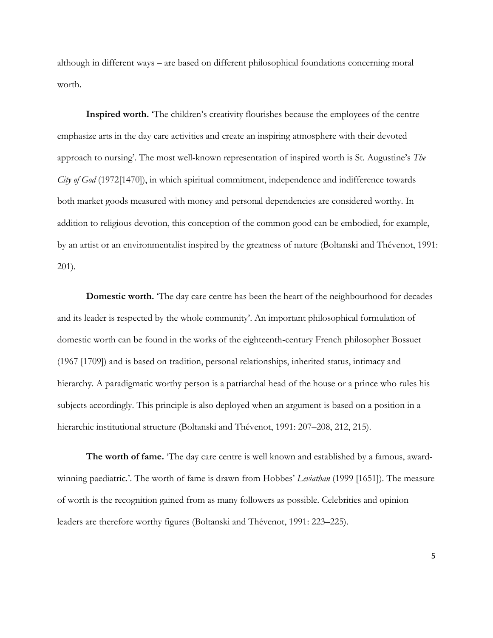although in different ways – are based on different philosophical foundations concerning moral worth.

**Inspired worth.** 'The children's creativity flourishes because the employees of the centre emphasize arts in the day care activities and create an inspiring atmosphere with their devoted approach to nursing'. The most well-known representation of inspired worth is St. Augustine's *The City of God* (1972[1470]), in which spiritual commitment, independence and indifference towards both market goods measured with money and personal dependencies are considered worthy. In addition to religious devotion, this conception of the common good can be embodied, for example, by an artist or an environmentalist inspired by the greatness of nature (Boltanski and Thévenot, 1991: 201).

**Domestic worth.** 'The day care centre has been the heart of the neighbourhood for decades and its leader is respected by the whole community'. An important philosophical formulation of domestic worth can be found in the works of the eighteenth-century French philosopher Bossuet (1967 [1709]) and is based on tradition, personal relationships, inherited status, intimacy and hierarchy. A paradigmatic worthy person is a patriarchal head of the house or a prince who rules his subjects accordingly. This principle is also deployed when an argument is based on a position in a hierarchic institutional structure (Boltanski and Thévenot, 1991: 207–208, 212, 215).

**The worth of fame.** 'The day care centre is well known and established by a famous, awardwinning paediatric.'. The worth of fame is drawn from Hobbes' *Leviathan* (1999 [1651]). The measure of worth is the recognition gained from as many followers as possible. Celebrities and opinion leaders are therefore worthy figures (Boltanski and Thévenot, 1991: 223–225).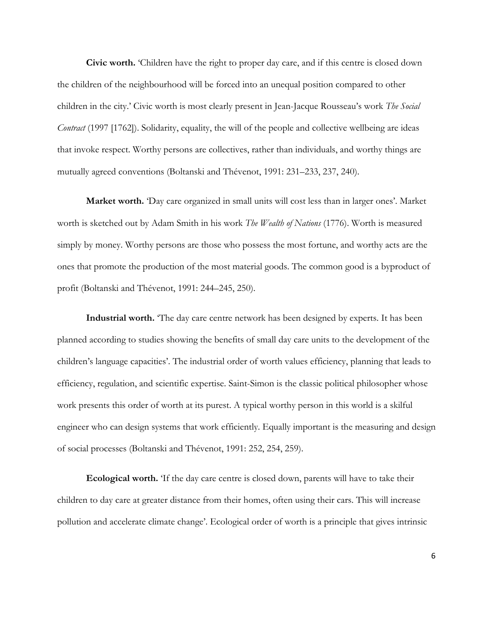**Civic worth.** 'Children have the right to proper day care, and if this centre is closed down the children of the neighbourhood will be forced into an unequal position compared to other children in the city.' Civic worth is most clearly present in Jean-Jacque Rousseau's work *The Social Contract* (1997 [1762]). Solidarity, equality, the will of the people and collective wellbeing are ideas that invoke respect. Worthy persons are collectives, rather than individuals, and worthy things are mutually agreed conventions (Boltanski and Thévenot, 1991: 231–233, 237, 240).

**Market worth.** 'Day care organized in small units will cost less than in larger ones'. Market worth is sketched out by Adam Smith in his work *The Wealth of Nations* (1776). Worth is measured simply by money. Worthy persons are those who possess the most fortune, and worthy acts are the ones that promote the production of the most material goods. The common good is a byproduct of profit (Boltanski and Thévenot, 1991: 244–245, 250).

**Industrial worth.** 'The day care centre network has been designed by experts. It has been planned according to studies showing the benefits of small day care units to the development of the children's language capacities'. The industrial order of worth values efficiency, planning that leads to efficiency, regulation, and scientific expertise. Saint-Simon is the classic political philosopher whose work presents this order of worth at its purest. A typical worthy person in this world is a skilful engineer who can design systems that work efficiently. Equally important is the measuring and design of social processes (Boltanski and Thévenot, 1991: 252, 254, 259).

**Ecological worth.** 'If the day care centre is closed down, parents will have to take their children to day care at greater distance from their homes, often using their cars. This will increase pollution and accelerate climate change'. Ecological order of worth is a principle that gives intrinsic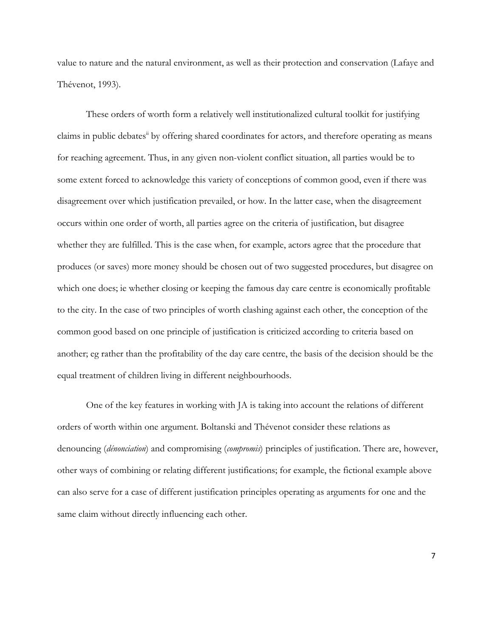value to nature and the natural environment, as well as their protection and conservation (Lafaye and Thévenot, 1993).

These orders of worth form a relatively well institutionalized cultural toolkit for justifying claims in public debates<sup>ii</sup> by offering shared coordinates for actors, and therefore operating as means for reaching agreement. Thus, in any given non-violent conflict situation, all parties would be to some extent forced to acknowledge this variety of conceptions of common good, even if there was disagreement over which justification prevailed, or how. In the latter case, when the disagreement occurs within one order of worth, all parties agree on the criteria of justification, but disagree whether they are fulfilled. This is the case when, for example, actors agree that the procedure that produces (or saves) more money should be chosen out of two suggested procedures, but disagree on which one does; ie whether closing or keeping the famous day care centre is economically profitable to the city. In the case of two principles of worth clashing against each other, the conception of the common good based on one principle of justification is criticized according to criteria based on another; eg rather than the profitability of the day care centre, the basis of the decision should be the equal treatment of children living in different neighbourhoods.

One of the key features in working with JA is taking into account the relations of different orders of worth within one argument. Boltanski and Thévenot consider these relations as denouncing (*dénonciation*) and compromising (*compromis*) principles of justification. There are, however, other ways of combining or relating different justifications; for example, the fictional example above can also serve for a case of different justification principles operating as arguments for one and the same claim without directly influencing each other.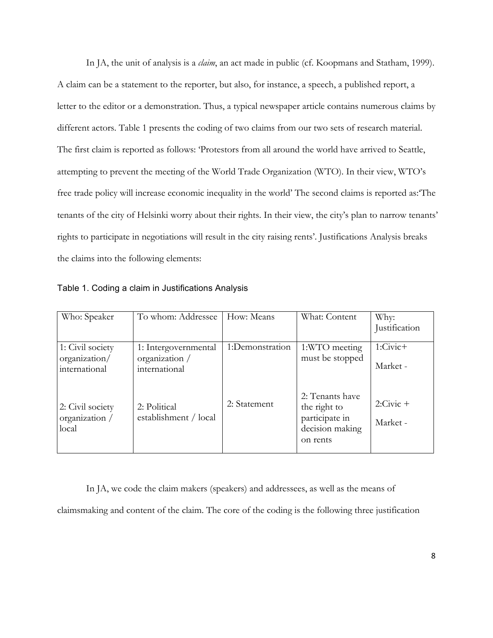In JA, the unit of analysis is a *claim*, an act made in public (cf. Koopmans and Statham, 1999). A claim can be a statement to the reporter, but also, for instance, a speech, a published report, a letter to the editor or a demonstration. Thus, a typical newspaper article contains numerous claims by different actors. Table 1 presents the coding of two claims from our two sets of research material. The first claim is reported as follows: 'Protestors from all around the world have arrived to Seattle, attempting to prevent the meeting of the World Trade Organization (WTO). In their view, WTO's free trade policy will increase economic inequality in the world' The second claims is reported as:'The tenants of the city of Helsinki worry about their rights. In their view, the city's plan to narrow tenants' rights to participate in negotiations will result in the city raising rents'. Justifications Analysis breaks the claims into the following elements:

| Who: Speaker                                | To whom: Addressee                    | How: Means      | What: Content                                                                    | Why:                    |
|---------------------------------------------|---------------------------------------|-----------------|----------------------------------------------------------------------------------|-------------------------|
|                                             |                                       |                 |                                                                                  | Justification           |
|                                             |                                       |                 |                                                                                  |                         |
| 1: Civil society                            | 1: Intergovernmental                  | 1:Demonstration | 1:WTO meeting                                                                    | $1:Civic+$              |
| organization/                               | organization /                        |                 | must be stopped                                                                  |                         |
| international                               | international                         |                 |                                                                                  | Market -                |
| 2: Civil society<br>organization /<br>local | 2: Political<br>establishment / local | 2: Statement    | 2: Tenants have<br>the right to<br>participate in<br>decision making<br>on rents | $2:Civic +$<br>Market - |

|  |  |  | Table 1. Coding a claim in Justifications Analysis |  |
|--|--|--|----------------------------------------------------|--|
|--|--|--|----------------------------------------------------|--|

In JA, we code the claim makers (speakers) and addressees, as well as the means of claimsmaking and content of the claim. The core of the coding is the following three justification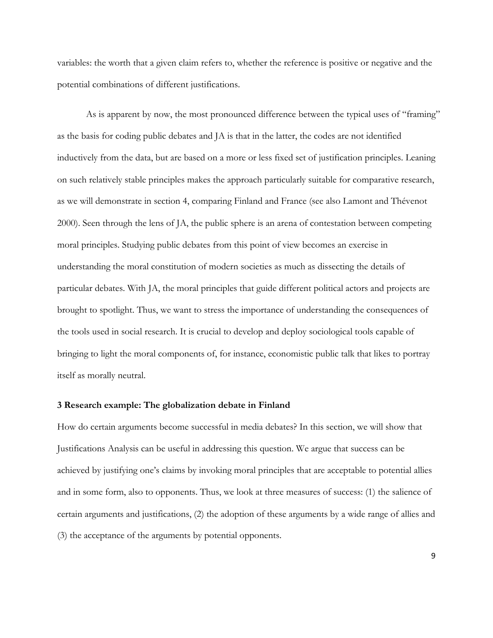variables: the worth that a given claim refers to, whether the reference is positive or negative and the potential combinations of different justifications.

As is apparent by now, the most pronounced difference between the typical uses of "framing" as the basis for coding public debates and JA is that in the latter, the codes are not identified inductively from the data, but are based on a more or less fixed set of justification principles. Leaning on such relatively stable principles makes the approach particularly suitable for comparative research, as we will demonstrate in section 4, comparing Finland and France (see also Lamont and Thévenot 2000). Seen through the lens of JA, the public sphere is an arena of contestation between competing moral principles. Studying public debates from this point of view becomes an exercise in understanding the moral constitution of modern societies as much as dissecting the details of particular debates. With JA, the moral principles that guide different political actors and projects are brought to spotlight. Thus, we want to stress the importance of understanding the consequences of the tools used in social research. It is crucial to develop and deploy sociological tools capable of bringing to light the moral components of, for instance, economistic public talk that likes to portray itself as morally neutral.

#### **3 Research example: The globalization debate in Finland**

How do certain arguments become successful in media debates? In this section, we will show that Justifications Analysis can be useful in addressing this question. We argue that success can be achieved by justifying one's claims by invoking moral principles that are acceptable to potential allies and in some form, also to opponents. Thus, we look at three measures of success: (1) the salience of certain arguments and justifications, (2) the adoption of these arguments by a wide range of allies and (3) the acceptance of the arguments by potential opponents.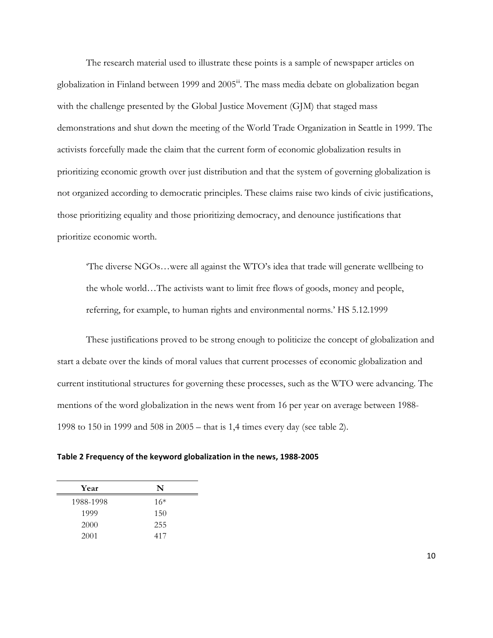The research material used to illustrate these points is a sample of newspaper articles on globalization in Finland between 1999 and 2005<sup>ii</sup>. The mass media debate on globalization began with the challenge presented by the Global Justice Movement (GJM) that staged mass demonstrations and shut down the meeting of the World Trade Organization in Seattle in 1999. The activists forcefully made the claim that the current form of economic globalization results in prioritizing economic growth over just distribution and that the system of governing globalization is not organized according to democratic principles. These claims raise two kinds of civic justifications, those prioritizing equality and those prioritizing democracy, and denounce justifications that prioritize economic worth.

'The diverse NGOs…were all against the WTO's idea that trade will generate wellbeing to the whole world…The activists want to limit free flows of goods, money and people, referring, for example, to human rights and environmental norms.' HS 5.12.1999

These justifications proved to be strong enough to politicize the concept of globalization and start a debate over the kinds of moral values that current processes of economic globalization and current institutional structures for governing these processes, such as the WTO were advancing. The mentions of the word globalization in the news went from 16 per year on average between 1988- 1998 to 150 in 1999 and 508 in 2005 – that is 1,4 times every day (see table 2).

Table 2 Frequency of the keyword globalization in the news, 1988-2005

| Year      | N     |
|-----------|-------|
| 1988-1998 | $16*$ |
| 1999      | 150   |
| 2000      | 255   |
| 2001      | 417   |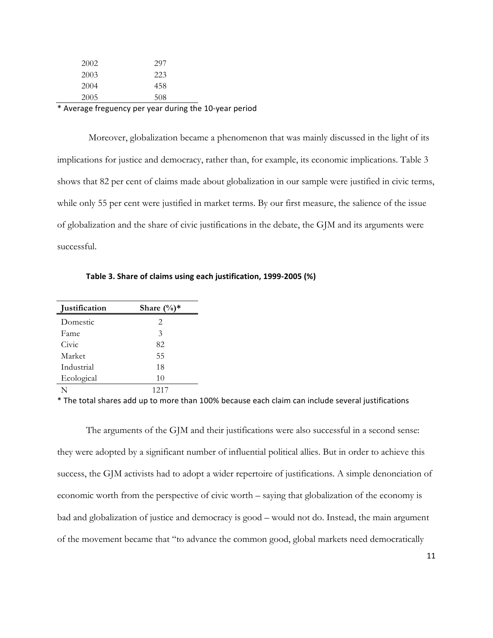| 2003<br>223<br>2004<br>458 |  |
|----------------------------|--|
|                            |  |
|                            |  |
| 2005<br>508                |  |

 $*$  Average freguency per year during the 10-year period

Moreover, globalization became a phenomenon that was mainly discussed in the light of its implications for justice and democracy, rather than, for example, its economic implications. Table 3 shows that 82 per cent of claims made about globalization in our sample were justified in civic terms, while only 55 per cent were justified in market terms. By our first measure, the salience of the issue of globalization and the share of civic justifications in the debate, the GJM and its arguments were successful.

| Justification | Share $(\%)^*$ |
|---------------|----------------|
| Domestic      | 2              |
| Fame          | 3              |
| Civic         | 82             |
| Market        | 55             |
| Industrial    | 18             |
| Ecological    | 10             |
| N             | 1217           |

**Table 3. Share of claims using each justification, 1999-2005 (%)** 

\* The total shares add up to more than 100% because each claim can include several justifications

The arguments of the GJM and their justifications were also successful in a second sense: they were adopted by a significant number of influential political allies. But in order to achieve this success, the GJM activists had to adopt a wider repertoire of justifications. A simple denonciation of economic worth from the perspective of civic worth – saying that globalization of the economy is bad and globalization of justice and democracy is good – would not do. Instead, the main argument of the movement became that "to advance the common good, global markets need democratically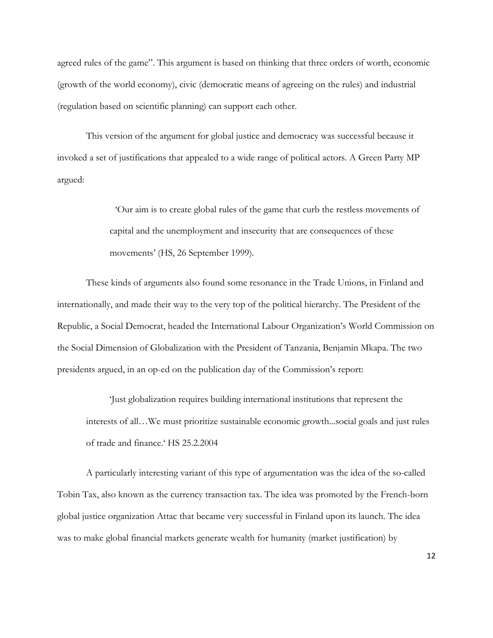agreed rules of the game". This argument is based on thinking that three orders of worth, economic (growth of the world economy), civic (democratic means of agreeing on the rules) and industrial (regulation based on scientific planning) can support each other.

This version of the argument for global justice and democracy was successful because it invoked a set of justifications that appealed to a wide range of political actors. A Green Party MP argued:

> 'Our aim is to create global rules of the game that curb the restless movements of capital and the unemployment and insecurity that are consequences of these movements' (HS, 26 September 1999).

These kinds of arguments also found some resonance in the Trade Unions, in Finland and internationally, and made their way to the very top of the political hierarchy. The President of the Republic, a Social Democrat, headed the International Labour Organization's World Commission on the Social Dimension of Globalization with the President of Tanzania, Benjamin Mkapa. The two presidents argued, in an op-ed on the publication day of the Commission's report:

'Just globalization requires building international institutions that represent the interests of all…We must prioritize sustainable economic growth...social goals and just rules of trade and finance.' HS 25.2.2004

A particularly interesting variant of this type of argumentation was the idea of the so-called Tobin Tax, also known as the currency transaction tax. The idea was promoted by the French-born global justice organization Attac that became very successful in Finland upon its launch. The idea was to make global financial markets generate wealth for humanity (market justification) by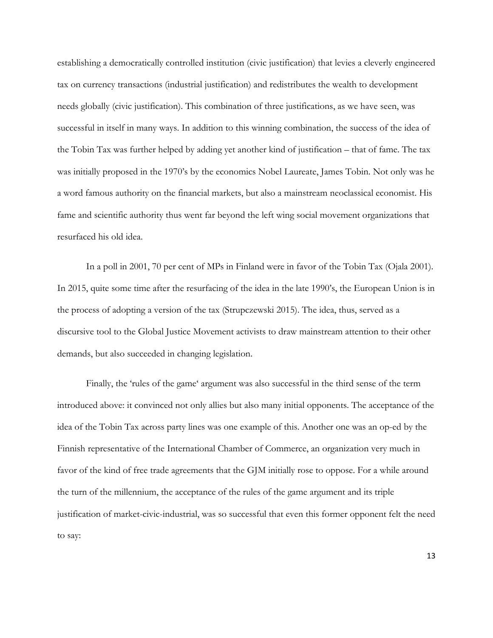establishing a democratically controlled institution (civic justification) that levies a cleverly engineered tax on currency transactions (industrial justification) and redistributes the wealth to development needs globally (civic justification). This combination of three justifications, as we have seen, was successful in itself in many ways. In addition to this winning combination, the success of the idea of the Tobin Tax was further helped by adding yet another kind of justification – that of fame. The tax was initially proposed in the 1970's by the economics Nobel Laureate, James Tobin. Not only was he a word famous authority on the financial markets, but also a mainstream neoclassical economist. His fame and scientific authority thus went far beyond the left wing social movement organizations that resurfaced his old idea.

In a poll in 2001, 70 per cent of MPs in Finland were in favor of the Tobin Tax (Ojala 2001). In 2015, quite some time after the resurfacing of the idea in the late 1990's, the European Union is in the process of adopting a version of the tax (Strupczewski 2015). The idea, thus, served as a discursive tool to the Global Justice Movement activists to draw mainstream attention to their other demands, but also succeeded in changing legislation.

Finally, the 'rules of the game' argument was also successful in the third sense of the term introduced above: it convinced not only allies but also many initial opponents. The acceptance of the idea of the Tobin Tax across party lines was one example of this. Another one was an op-ed by the Finnish representative of the International Chamber of Commerce, an organization very much in favor of the kind of free trade agreements that the GJM initially rose to oppose. For a while around the turn of the millennium, the acceptance of the rules of the game argument and its triple justification of market-civic-industrial, was so successful that even this former opponent felt the need to say: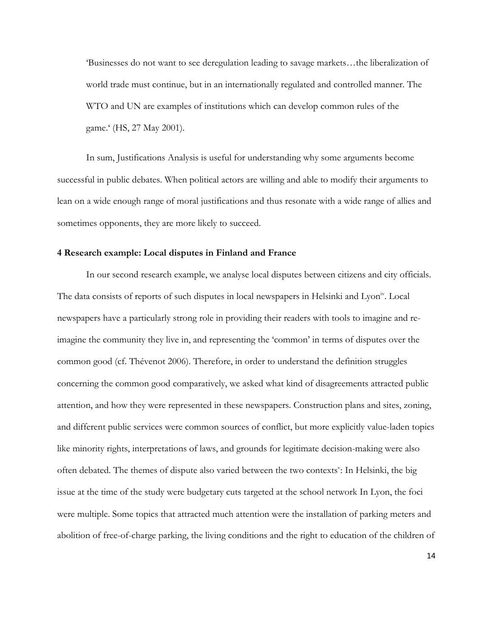'Businesses do not want to see deregulation leading to savage markets…the liberalization of world trade must continue, but in an internationally regulated and controlled manner. The WTO and UN are examples of institutions which can develop common rules of the game.' (HS, 27 May 2001).

In sum, Justifications Analysis is useful for understanding why some arguments become successful in public debates. When political actors are willing and able to modify their arguments to lean on a wide enough range of moral justifications and thus resonate with a wide range of allies and sometimes opponents, they are more likely to succeed.

#### **4 Research example: Local disputes in Finland and France**

In our second research example, we analyse local disputes between citizens and city officials. The data consists of reports of such disputes in local newspapers in Helsinki and Lyon<sup>iv</sup>. Local newspapers have a particularly strong role in providing their readers with tools to imagine and reimagine the community they live in, and representing the 'common' in terms of disputes over the common good (cf. Thévenot 2006). Therefore, in order to understand the definition struggles concerning the common good comparatively, we asked what kind of disagreements attracted public attention, and how they were represented in these newspapers. Construction plans and sites, zoning, and different public services were common sources of conflict, but more explicitly value-laden topics like minority rights, interpretations of laws, and grounds for legitimate decision-making were also often debated. The themes of dispute also varied between the two contexts<sup>v</sup>: In Helsinki, the big issue at the time of the study were budgetary cuts targeted at the school network In Lyon, the foci were multiple. Some topics that attracted much attention were the installation of parking meters and abolition of free-of-charge parking, the living conditions and the right to education of the children of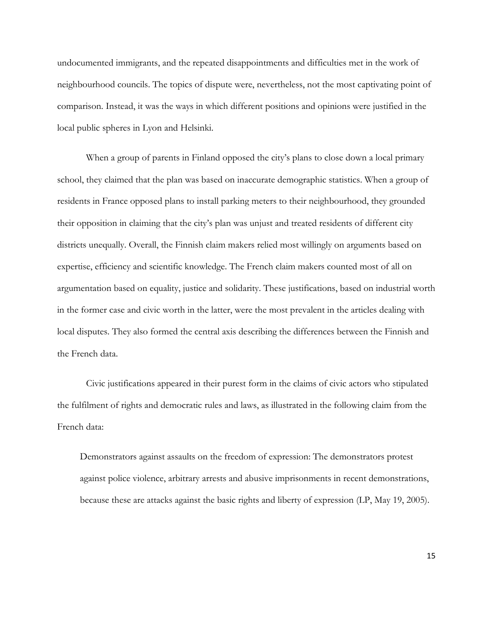undocumented immigrants, and the repeated disappointments and difficulties met in the work of neighbourhood councils. The topics of dispute were, nevertheless, not the most captivating point of comparison. Instead, it was the ways in which different positions and opinions were justified in the local public spheres in Lyon and Helsinki.

When a group of parents in Finland opposed the city's plans to close down a local primary school, they claimed that the plan was based on inaccurate demographic statistics. When a group of residents in France opposed plans to install parking meters to their neighbourhood, they grounded their opposition in claiming that the city's plan was unjust and treated residents of different city districts unequally. Overall, the Finnish claim makers relied most willingly on arguments based on expertise, efficiency and scientific knowledge. The French claim makers counted most of all on argumentation based on equality, justice and solidarity. These justifications, based on industrial worth in the former case and civic worth in the latter, were the most prevalent in the articles dealing with local disputes. They also formed the central axis describing the differences between the Finnish and the French data.

Civic justifications appeared in their purest form in the claims of civic actors who stipulated the fulfilment of rights and democratic rules and laws, as illustrated in the following claim from the French data:

Demonstrators against assaults on the freedom of expression: The demonstrators protest against police violence, arbitrary arrests and abusive imprisonments in recent demonstrations, because these are attacks against the basic rights and liberty of expression (LP, May 19, 2005).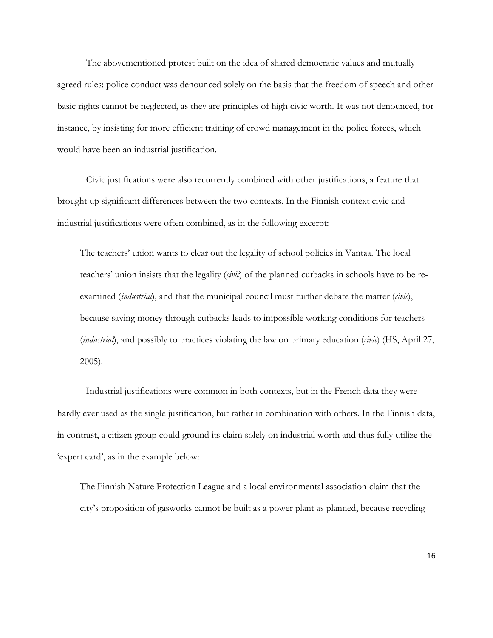The abovementioned protest built on the idea of shared democratic values and mutually agreed rules: police conduct was denounced solely on the basis that the freedom of speech and other basic rights cannot be neglected, as they are principles of high civic worth. It was not denounced, for instance, by insisting for more efficient training of crowd management in the police forces, which would have been an industrial justification.

Civic justifications were also recurrently combined with other justifications, a feature that brought up significant differences between the two contexts. In the Finnish context civic and industrial justifications were often combined, as in the following excerpt:

The teachers' union wants to clear out the legality of school policies in Vantaa. The local teachers' union insists that the legality (*civic*) of the planned cutbacks in schools have to be reexamined (*industrial*), and that the municipal council must further debate the matter (*civic*), because saving money through cutbacks leads to impossible working conditions for teachers (*industrial*), and possibly to practices violating the law on primary education (*civic*) (HS, April 27, 2005).

Industrial justifications were common in both contexts, but in the French data they were hardly ever used as the single justification, but rather in combination with others. In the Finnish data, in contrast, a citizen group could ground its claim solely on industrial worth and thus fully utilize the 'expert card', as in the example below:

The Finnish Nature Protection League and a local environmental association claim that the city's proposition of gasworks cannot be built as a power plant as planned, because recycling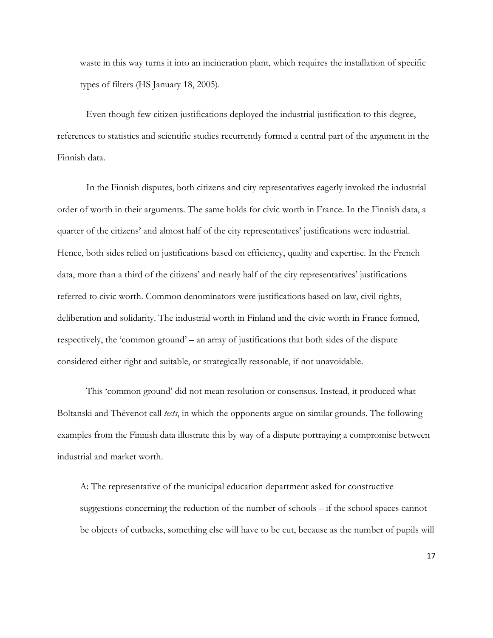waste in this way turns it into an incineration plant, which requires the installation of specific types of filters (HS January 18, 2005).

Even though few citizen justifications deployed the industrial justification to this degree, references to statistics and scientific studies recurrently formed a central part of the argument in the Finnish data.

In the Finnish disputes, both citizens and city representatives eagerly invoked the industrial order of worth in their arguments. The same holds for civic worth in France. In the Finnish data, a quarter of the citizens' and almost half of the city representatives' justifications were industrial. Hence, both sides relied on justifications based on efficiency, quality and expertise. In the French data, more than a third of the citizens' and nearly half of the city representatives' justifications referred to civic worth. Common denominators were justifications based on law, civil rights, deliberation and solidarity. The industrial worth in Finland and the civic worth in France formed, respectively, the 'common ground' – an array of justifications that both sides of the dispute considered either right and suitable, or strategically reasonable, if not unavoidable.

This 'common ground' did not mean resolution or consensus. Instead, it produced what Boltanski and Thévenot call *tests*, in which the opponents argue on similar grounds. The following examples from the Finnish data illustrate this by way of a dispute portraying a compromise between industrial and market worth.

A: The representative of the municipal education department asked for constructive suggestions concerning the reduction of the number of schools – if the school spaces cannot be objects of cutbacks, something else will have to be cut, because as the number of pupils will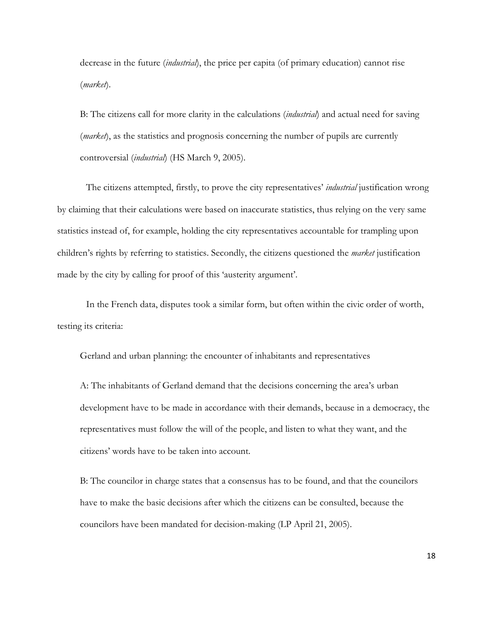decrease in the future (*industrial*), the price per capita (of primary education) cannot rise (*market*).

B: The citizens call for more clarity in the calculations (*industrial*) and actual need for saving (*market*), as the statistics and prognosis concerning the number of pupils are currently controversial (*industrial*) (HS March 9, 2005).

The citizens attempted, firstly, to prove the city representatives' *industrial* justification wrong by claiming that their calculations were based on inaccurate statistics, thus relying on the very same statistics instead of, for example, holding the city representatives accountable for trampling upon children's rights by referring to statistics. Secondly, the citizens questioned the *market* justification made by the city by calling for proof of this 'austerity argument'.

In the French data, disputes took a similar form, but often within the civic order of worth, testing its criteria:

Gerland and urban planning: the encounter of inhabitants and representatives

A: The inhabitants of Gerland demand that the decisions concerning the area's urban development have to be made in accordance with their demands, because in a democracy, the representatives must follow the will of the people, and listen to what they want, and the citizens' words have to be taken into account.

B: The councilor in charge states that a consensus has to be found, and that the councilors have to make the basic decisions after which the citizens can be consulted, because the councilors have been mandated for decision-making (LP April 21, 2005).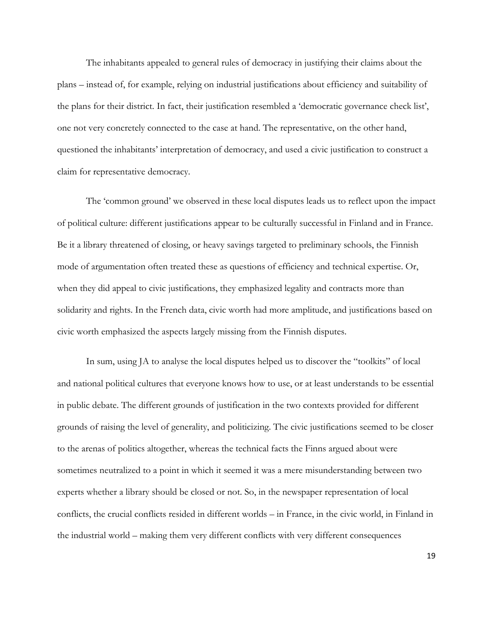The inhabitants appealed to general rules of democracy in justifying their claims about the plans – instead of, for example, relying on industrial justifications about efficiency and suitability of the plans for their district. In fact, their justification resembled a 'democratic governance check list', one not very concretely connected to the case at hand. The representative, on the other hand, questioned the inhabitants' interpretation of democracy, and used a civic justification to construct a claim for representative democracy.

The 'common ground' we observed in these local disputes leads us to reflect upon the impact of political culture: different justifications appear to be culturally successful in Finland and in France. Be it a library threatened of closing, or heavy savings targeted to preliminary schools, the Finnish mode of argumentation often treated these as questions of efficiency and technical expertise. Or, when they did appeal to civic justifications, they emphasized legality and contracts more than solidarity and rights. In the French data, civic worth had more amplitude, and justifications based on civic worth emphasized the aspects largely missing from the Finnish disputes.

In sum, using JA to analyse the local disputes helped us to discover the "toolkits" of local and national political cultures that everyone knows how to use, or at least understands to be essential in public debate. The different grounds of justification in the two contexts provided for different grounds of raising the level of generality, and politicizing. The civic justifications seemed to be closer to the arenas of politics altogether, whereas the technical facts the Finns argued about were sometimes neutralized to a point in which it seemed it was a mere misunderstanding between two experts whether a library should be closed or not. So, in the newspaper representation of local conflicts, the crucial conflicts resided in different worlds – in France, in the civic world, in Finland in the industrial world – making them very different conflicts with very different consequences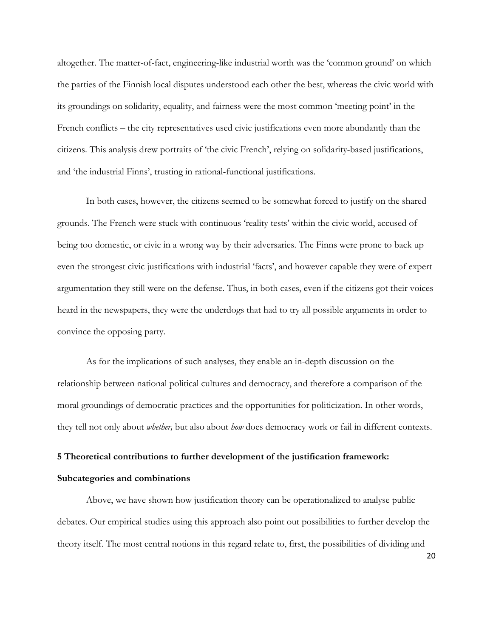altogether. The matter-of-fact, engineering-like industrial worth was the 'common ground' on which the parties of the Finnish local disputes understood each other the best, whereas the civic world with its groundings on solidarity, equality, and fairness were the most common 'meeting point' in the French conflicts – the city representatives used civic justifications even more abundantly than the citizens. This analysis drew portraits of 'the civic French', relying on solidarity-based justifications, and 'the industrial Finns', trusting in rational-functional justifications.

In both cases, however, the citizens seemed to be somewhat forced to justify on the shared grounds. The French were stuck with continuous 'reality tests' within the civic world, accused of being too domestic, or civic in a wrong way by their adversaries. The Finns were prone to back up even the strongest civic justifications with industrial 'facts', and however capable they were of expert argumentation they still were on the defense. Thus, in both cases, even if the citizens got their voices heard in the newspapers, they were the underdogs that had to try all possible arguments in order to convince the opposing party.

As for the implications of such analyses, they enable an in-depth discussion on the relationship between national political cultures and democracy, and therefore a comparison of the moral groundings of democratic practices and the opportunities for politicization. In other words, they tell not only about *whether,* but also about *how* does democracy work or fail in different contexts.

# **5 Theoretical contributions to further development of the justification framework: Subcategories and combinations**

Above, we have shown how justification theory can be operationalized to analyse public debates. Our empirical studies using this approach also point out possibilities to further develop the theory itself. The most central notions in this regard relate to, first, the possibilities of dividing and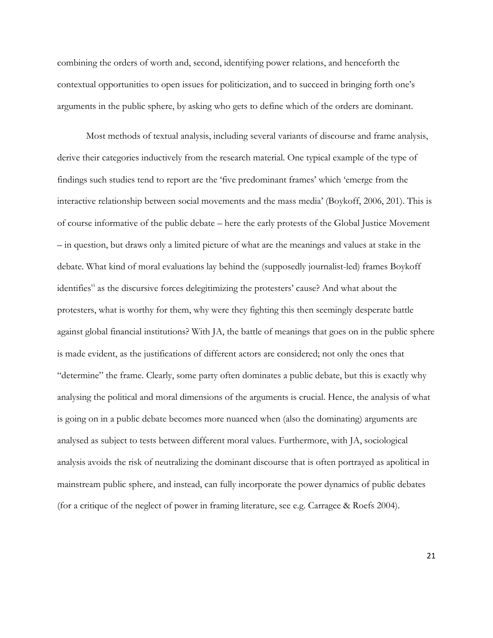combining the orders of worth and, second, identifying power relations, and henceforth the contextual opportunities to open issues for politicization, and to succeed in bringing forth one's arguments in the public sphere, by asking who gets to define which of the orders are dominant.

Most methods of textual analysis, including several variants of discourse and frame analysis, derive their categories inductively from the research material. One typical example of the type of findings such studies tend to report are the 'five predominant frames' which 'emerge from the interactive relationship between social movements and the mass media' (Boykoff, 2006, 201). This is of course informative of the public debate – here the early protests of the Global Justice Movement – in question, but draws only a limited picture of what are the meanings and values at stake in the debate. What kind of moral evaluations lay behind the (supposedly journalist-led) frames Boykoff identifies<sup> $\vec{v}$ </sup> as the discursive forces delegitimizing the protesters' cause? And what about the protesters, what is worthy for them, why were they fighting this then seemingly desperate battle against global financial institutions? With JA, the battle of meanings that goes on in the public sphere is made evident, as the justifications of different actors are considered; not only the ones that "determine" the frame. Clearly, some party often dominates a public debate, but this is exactly why analysing the political and moral dimensions of the arguments is crucial. Hence, the analysis of what is going on in a public debate becomes more nuanced when (also the dominating) arguments are analysed as subject to tests between different moral values. Furthermore, with JA, sociological analysis avoids the risk of neutralizing the dominant discourse that is often portrayed as apolitical in mainstream public sphere, and instead, can fully incorporate the power dynamics of public debates (for a critique of the neglect of power in framing literature, see e.g. Carragee & Roefs 2004).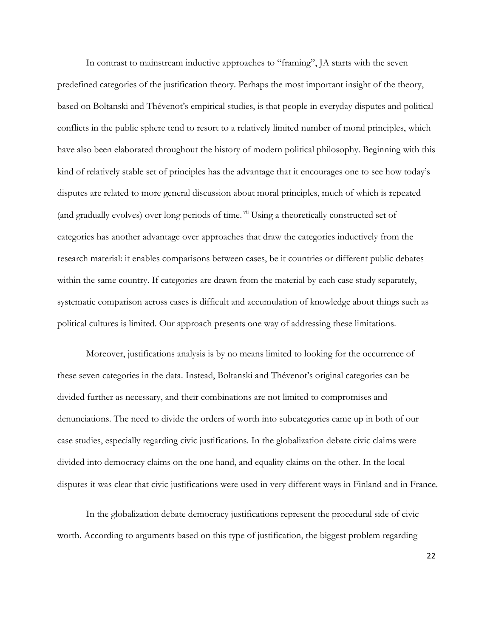In contrast to mainstream inductive approaches to "framing", JA starts with the seven predefined categories of the justification theory. Perhaps the most important insight of the theory, based on Boltanski and Thévenot's empirical studies, is that people in everyday disputes and political conflicts in the public sphere tend to resort to a relatively limited number of moral principles, which have also been elaborated throughout the history of modern political philosophy. Beginning with this kind of relatively stable set of principles has the advantage that it encourages one to see how today's disputes are related to more general discussion about moral principles, much of which is repeated (and gradually evolves) over long periods of time. <sup>vii</sup> Using a theoretically constructed set of categories has another advantage over approaches that draw the categories inductively from the research material: it enables comparisons between cases, be it countries or different public debates within the same country. If categories are drawn from the material by each case study separately, systematic comparison across cases is difficult and accumulation of knowledge about things such as political cultures is limited. Our approach presents one way of addressing these limitations.

Moreover, justifications analysis is by no means limited to looking for the occurrence of these seven categories in the data. Instead, Boltanski and Thévenot's original categories can be divided further as necessary, and their combinations are not limited to compromises and denunciations. The need to divide the orders of worth into subcategories came up in both of our case studies, especially regarding civic justifications. In the globalization debate civic claims were divided into democracy claims on the one hand, and equality claims on the other. In the local disputes it was clear that civic justifications were used in very different ways in Finland and in France.

In the globalization debate democracy justifications represent the procedural side of civic worth. According to arguments based on this type of justification, the biggest problem regarding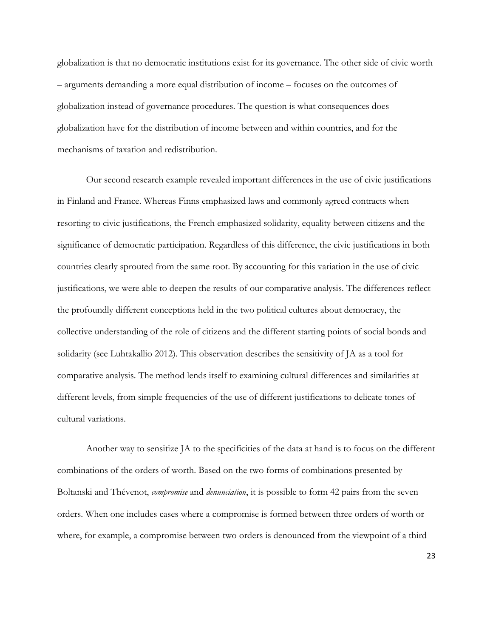globalization is that no democratic institutions exist for its governance. The other side of civic worth – arguments demanding a more equal distribution of income – focuses on the outcomes of globalization instead of governance procedures. The question is what consequences does globalization have for the distribution of income between and within countries, and for the mechanisms of taxation and redistribution.

Our second research example revealed important differences in the use of civic justifications in Finland and France. Whereas Finns emphasized laws and commonly agreed contracts when resorting to civic justifications, the French emphasized solidarity, equality between citizens and the significance of democratic participation. Regardless of this difference, the civic justifications in both countries clearly sprouted from the same root. By accounting for this variation in the use of civic justifications, we were able to deepen the results of our comparative analysis. The differences reflect the profoundly different conceptions held in the two political cultures about democracy, the collective understanding of the role of citizens and the different starting points of social bonds and solidarity (see Luhtakallio 2012). This observation describes the sensitivity of JA as a tool for comparative analysis. The method lends itself to examining cultural differences and similarities at different levels, from simple frequencies of the use of different justifications to delicate tones of cultural variations.

Another way to sensitize JA to the specificities of the data at hand is to focus on the different combinations of the orders of worth. Based on the two forms of combinations presented by Boltanski and Thévenot, *compromise* and *denunciation*, it is possible to form 42 pairs from the seven orders. When one includes cases where a compromise is formed between three orders of worth or where, for example, a compromise between two orders is denounced from the viewpoint of a third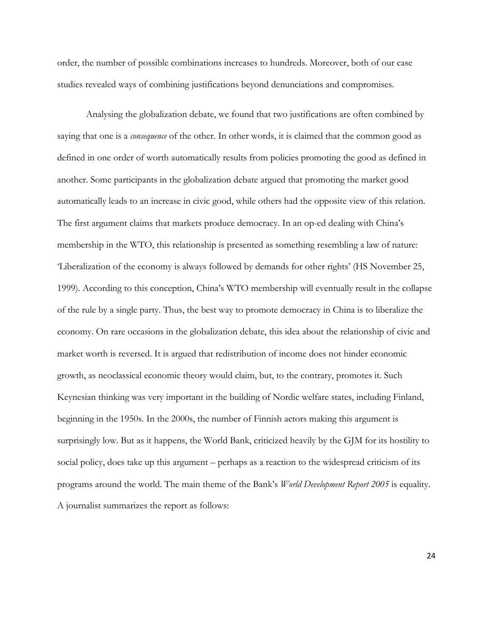order, the number of possible combinations increases to hundreds. Moreover, both of our case studies revealed ways of combining justifications beyond denunciations and compromises.

Analysing the globalization debate, we found that two justifications are often combined by saying that one is a *consequence* of the other. In other words, it is claimed that the common good as defined in one order of worth automatically results from policies promoting the good as defined in another. Some participants in the globalization debate argued that promoting the market good automatically leads to an increase in civic good, while others had the opposite view of this relation. The first argument claims that markets produce democracy. In an op-ed dealing with China's membership in the WTO, this relationship is presented as something resembling a law of nature: 'Liberalization of the economy is always followed by demands for other rights' (HS November 25, 1999). According to this conception, China's WTO membership will eventually result in the collapse of the rule by a single party. Thus, the best way to promote democracy in China is to liberalize the economy. On rare occasions in the globalization debate, this idea about the relationship of civic and market worth is reversed. It is argued that redistribution of income does not hinder economic growth, as neoclassical economic theory would claim, but, to the contrary, promotes it. Such Keynesian thinking was very important in the building of Nordic welfare states, including Finland, beginning in the 1950s. In the 2000s, the number of Finnish actors making this argument is surprisingly low. But as it happens, the World Bank, criticized heavily by the GJM for its hostility to social policy, does take up this argument – perhaps as a reaction to the widespread criticism of its programs around the world. The main theme of the Bank's *World Development Report 2005* is equality. A journalist summarizes the report as follows: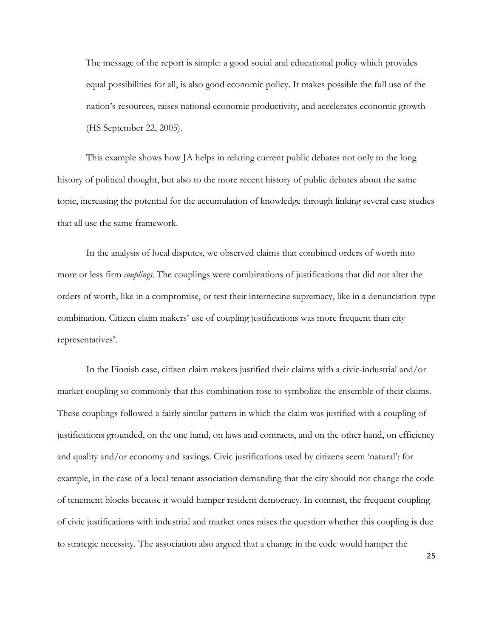The message of the report is simple: a good social and educational policy which provides equal possibilities for all, is also good economic policy. It makes possible the full use of the nation's resources, raises national economic productivity, and accelerates economic growth (HS September 22, 2005).

This example shows how JA helps in relating current public debates not only to the long history of political thought, but also to the more recent history of public debates about the same topic, increasing the potential for the accumulation of knowledge through linking several case studies that all use the same framework.

In the analysis of local disputes, we observed claims that combined orders of worth into more or less firm *couplings*. The couplings were combinations of justifications that did not alter the orders of worth, like in a compromise, or test their internecine supremacy, like in a denunciation-type combination. Citizen claim makers' use of coupling justifications was more frequent than city representatives'.

In the Finnish case, citizen claim makers justified their claims with a civic-industrial and/or market coupling so commonly that this combination rose to symbolize the ensemble of their claims. These couplings followed a fairly similar pattern in which the claim was justified with a coupling of justifications grounded, on the one hand, on laws and contracts, and on the other hand, on efficiency and quality and/or economy and savings. Civic justifications used by citizens seem 'natural': for example, in the case of a local tenant association demanding that the city should not change the code of tenement blocks because it would hamper resident democracy. In contrast, the frequent coupling of civic justifications with industrial and market ones raises the question whether this coupling is due to strategic necessity. The association also argued that a change in the code would hamper the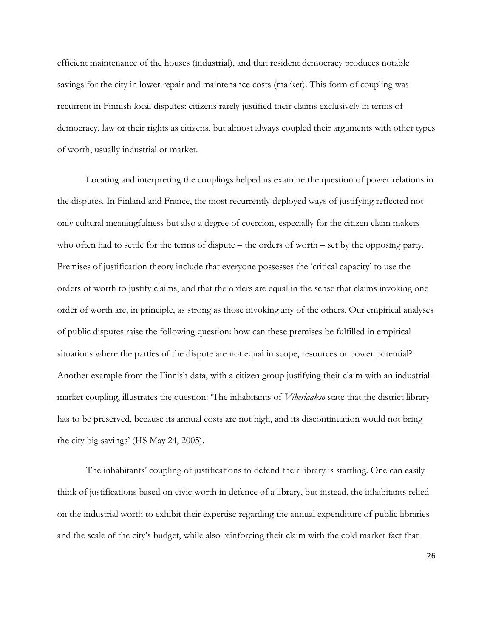efficient maintenance of the houses (industrial), and that resident democracy produces notable savings for the city in lower repair and maintenance costs (market). This form of coupling was recurrent in Finnish local disputes: citizens rarely justified their claims exclusively in terms of democracy, law or their rights as citizens, but almost always coupled their arguments with other types of worth, usually industrial or market.

Locating and interpreting the couplings helped us examine the question of power relations in the disputes. In Finland and France, the most recurrently deployed ways of justifying reflected not only cultural meaningfulness but also a degree of coercion, especially for the citizen claim makers who often had to settle for the terms of dispute – the orders of worth – set by the opposing party. Premises of justification theory include that everyone possesses the 'critical capacity' to use the orders of worth to justify claims, and that the orders are equal in the sense that claims invoking one order of worth are, in principle, as strong as those invoking any of the others. Our empirical analyses of public disputes raise the following question: how can these premises be fulfilled in empirical situations where the parties of the dispute are not equal in scope, resources or power potential? Another example from the Finnish data, with a citizen group justifying their claim with an industrialmarket coupling, illustrates the question: 'The inhabitants of *Viherlaakso* state that the district library has to be preserved, because its annual costs are not high, and its discontinuation would not bring the city big savings' (HS May 24, 2005).

The inhabitants' coupling of justifications to defend their library is startling. One can easily think of justifications based on civic worth in defence of a library, but instead, the inhabitants relied on the industrial worth to exhibit their expertise regarding the annual expenditure of public libraries and the scale of the city's budget, while also reinforcing their claim with the cold market fact that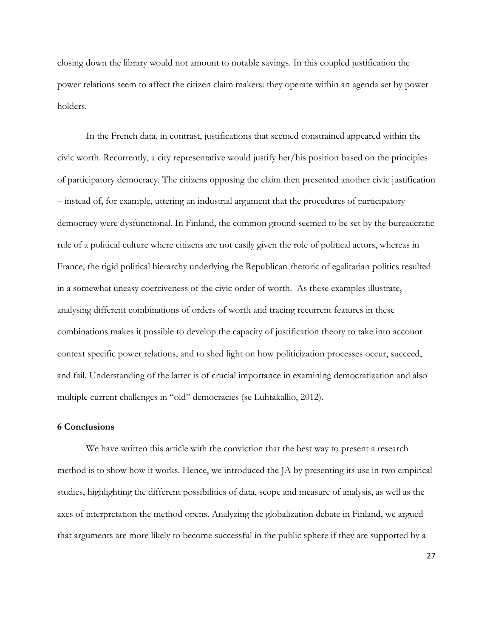closing down the library would not amount to notable savings. In this coupled justification the power relations seem to affect the citizen claim makers: they operate within an agenda set by power holders.

In the French data, in contrast, justifications that seemed constrained appeared within the civic worth. Recurrently, a city representative would justify her/his position based on the principles of participatory democracy. The citizens opposing the claim then presented another civic justification – instead of, for example, uttering an industrial argument that the procedures of participatory democracy were dysfunctional. In Finland, the common ground seemed to be set by the bureaucratic rule of a political culture where citizens are not easily given the role of political actors, whereas in France, the rigid political hierarchy underlying the Republican rhetoric of egalitarian politics resulted in a somewhat uneasy coerciveness of the civic order of worth. As these examples illustrate, analysing different combinations of orders of worth and tracing recurrent features in these combinations makes it possible to develop the capacity of justification theory to take into account context specific power relations, and to shed light on how politicization processes occur, succeed, and fail. Understanding of the latter is of crucial importance in examining democratization and also multiple current challenges in "old" democracies (se Luhtakallio, 2012).

### **6 Conclusions**

We have written this article with the conviction that the best way to present a research method is to show how it works. Hence, we introduced the JA by presenting its use in two empirical studies, highlighting the different possibilities of data, scope and measure of analysis, as well as the axes of interpretation the method opens. Analyzing the globalization debate in Finland, we argued that arguments are more likely to become successful in the public sphere if they are supported by a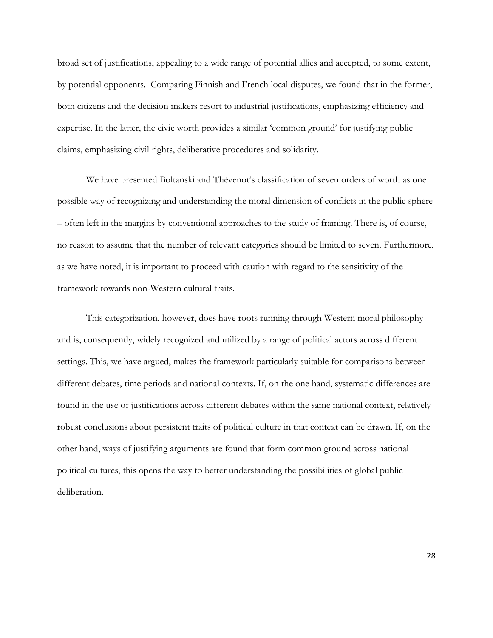broad set of justifications, appealing to a wide range of potential allies and accepted, to some extent, by potential opponents. Comparing Finnish and French local disputes, we found that in the former, both citizens and the decision makers resort to industrial justifications, emphasizing efficiency and expertise. In the latter, the civic worth provides a similar 'common ground' for justifying public claims, emphasizing civil rights, deliberative procedures and solidarity.

We have presented Boltanski and Thévenot's classification of seven orders of worth as one possible way of recognizing and understanding the moral dimension of conflicts in the public sphere – often left in the margins by conventional approaches to the study of framing. There is, of course, no reason to assume that the number of relevant categories should be limited to seven. Furthermore, as we have noted, it is important to proceed with caution with regard to the sensitivity of the framework towards non-Western cultural traits.

This categorization, however, does have roots running through Western moral philosophy and is, consequently, widely recognized and utilized by a range of political actors across different settings. This, we have argued, makes the framework particularly suitable for comparisons between different debates, time periods and national contexts. If, on the one hand, systematic differences are found in the use of justifications across different debates within the same national context, relatively robust conclusions about persistent traits of political culture in that context can be drawn. If, on the other hand, ways of justifying arguments are found that form common ground across national political cultures, this opens the way to better understanding the possibilities of global public deliberation.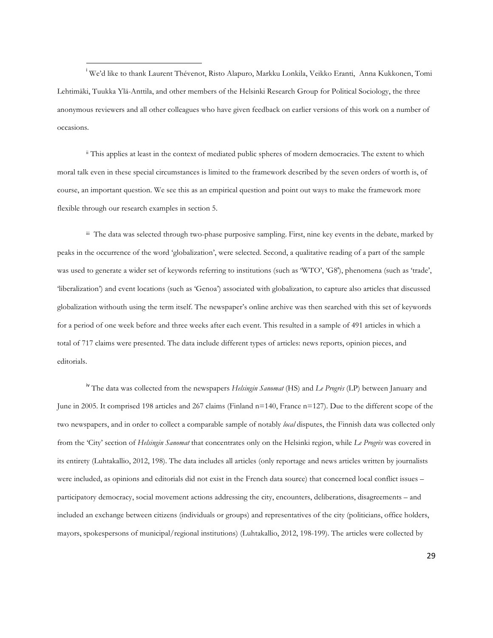i We'd like to thank Laurent Thévenot, Risto Alapuro, Markku Lonkila, Veikko Eranti, Anna Kukkonen, Tomi Lehtimäki, Tuukka Ylä-Anttila, and other members of the Helsinki Research Group for Political Sociology, the three anonymous reviewers and all other colleagues who have given feedback on earlier versions of this work on a number of occasions.

<sup>ii</sup> This applies at least in the context of mediated public spheres of modern democracies. The extent to which moral talk even in these special circumstances is limited to the framework described by the seven orders of worth is, of course, an important question. We see this as an empirical question and point out ways to make the framework more flexible through our research examples in section 5.

iii The data was selected through two-phase purposive sampling. First, nine key events in the debate, marked by peaks in the occurrence of the word 'globalization', were selected. Second, a qualitative reading of a part of the sample was used to generate a wider set of keywords referring to institutions (such as 'WTO', 'G8'), phenomena (such as 'trade', 'liberalization') and event locations (such as 'Genoa') associated with globalization, to capture also articles that discussed globalization withouth using the term itself. The newspaper's online archive was then searched with this set of keywords for a period of one week before and three weeks after each event. This resulted in a sample of 491 articles in which a total of 717 claims were presented. The data include different types of articles: news reports, opinion pieces, and editorials.

iv The data was collected from the newspapers *Helsingin Sanomat* (HS) and *Le Progrès* (LP) between January and June in 2005. It comprised 198 articles and 267 claims (Finland n=140, France n=127). Due to the different scope of the two newspapers, and in order to collect a comparable sample of notably *local* disputes, the Finnish data was collected only from the 'City' section of *Helsingin Sanomat* that concentrates only on the Helsinki region, while *Le Progrès* was covered in its entirety (Luhtakallio, 2012, 198). The data includes all articles (only reportage and news articles written by journalists were included, as opinions and editorials did not exist in the French data source) that concerned local conflict issues – participatory democracy, social movement actions addressing the city, encounters, deliberations, disagreements – and included an exchange between citizens (individuals or groups) and representatives of the city (politicians, office holders, mayors, spokespersons of municipal/regional institutions) (Luhtakallio, 2012, 198-199). The articles were collected by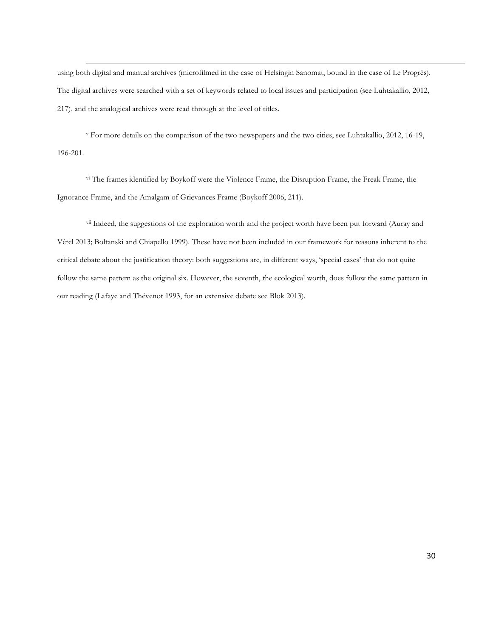using both digital and manual archives (microfilmed in the case of Helsingin Sanomat, bound in the case of Le Progrès). The digital archives were searched with a set of keywords related to local issues and participation (see Luhtakallio, 2012, 217), and the analogical archives were read through at the level of titles.

<sup>v</sup> For more details on the comparison of the two newspapers and the two cities, see Luhtakallio, 2012, 16-19, 196-201.

vi The frames identified by Boykoff were the Violence Frame, the Disruption Frame, the Freak Frame, the Ignorance Frame, and the Amalgam of Grievances Frame (Boykoff 2006, 211).

vii Indeed, the suggestions of the exploration worth and the project worth have been put forward (Auray and Vétel 2013; Boltanski and Chiapello 1999). These have not been included in our framework for reasons inherent to the critical debate about the justification theory: both suggestions are, in different ways, 'special cases' that do not quite follow the same pattern as the original six. However, the seventh, the ecological worth, does follow the same pattern in our reading (Lafaye and Thévenot 1993, for an extensive debate see Blok 2013).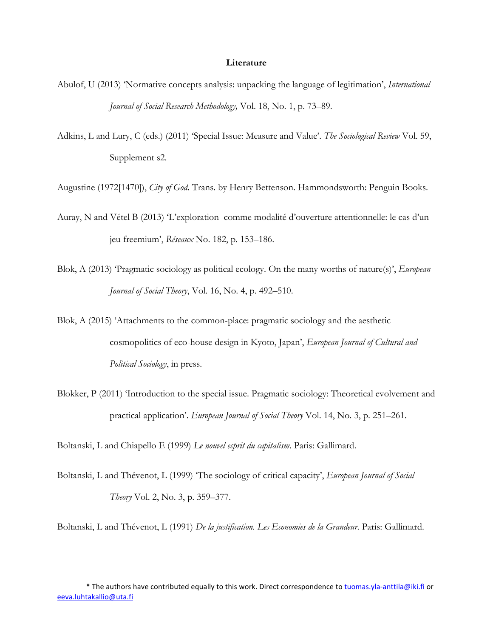## **Literature**

- Abulof, U (2013) 'Normative concepts analysis: unpacking the language of legitimation', *International Journal of Social Research Methodology,* Vol. 18, No. 1, p. 73–89.
- Adkins, L and Lury, C (eds.) (2011) 'Special Issue: Measure and Value'. *The Sociological Review* Vol. 59, Supplement s2.

Augustine (1972[1470]), *City of God*. Trans. by Henry Bettenson. Hammondsworth: Penguin Books.

- Auray, N and Vétel B (2013) 'L'exploration comme modalité d'ouverture attentionnelle: le cas d'un jeu freemium', *Réseaux* No. 182, p. 153–186.
- Blok, A (2013) 'Pragmatic sociology as political ecology. On the many worths of nature(s)', *European Journal of Social Theory*, Vol. 16, No. 4, p. 492–510.
- Blok, A (2015) 'Attachments to the common-place: pragmatic sociology and the aesthetic cosmopolitics of eco-house design in Kyoto, Japan', *European Journal of Cultural and Political Sociology*, in press.
- Blokker, P (2011) 'Introduction to the special issue. Pragmatic sociology: Theoretical evolvement and practical application'. *European Journal of Social Theory* Vol. 14, No. 3, p. 251–261.

Boltanski, L and Chiapello E (1999) *Le nouvel esprit du capitalism*. Paris: Gallimard.

Boltanski, L and Thévenot, L (1999) 'The sociology of critical capacity', *European Journal of Social Theory* Vol. 2, No. 3, p. 359–377.

Boltanski, L and Thévenot, L (1991) *De la justification. Les Economies de la Grandeur*. Paris: Gallimard.

#### \* The authors have contributed equally to this work. Direct correspondence to tuomas.yla-anttila@iki.fi or eeva.luhtakallio@uta.fi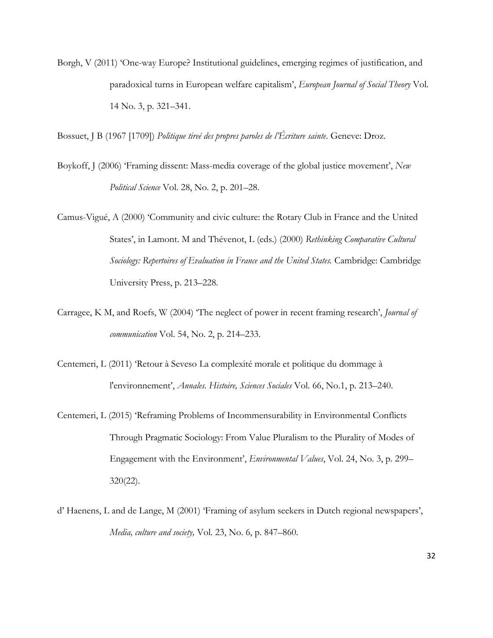Borgh, V (2011) 'One-way Europe? Institutional guidelines, emerging regimes of justification, and paradoxical turns in European welfare capitalism', *European Journal of Social Theory* Vol. 14 No. 3, p. 321–341.

Bossuet, J B (1967 [1709]) *Politique tireé des propres paroles de l'Écriture sainte*. Geneve: Droz.

Boykoff, J (2006) 'Framing dissent: Mass-media coverage of the global justice movement', *New Political Science* Vol. 28, No. 2, p. 201–28.

Camus-Vigué, A (2000) 'Community and civic culture: the Rotary Club in France and the United States', in Lamont. M and Thévenot, L (eds.) (2000) *Rethinking Comparative Cultural Sociology: Repertoires of Evaluation in France and the United States.* Cambridge: Cambridge University Press, p. 213–228.

- Carragee, K M, and Roefs, W (2004) 'The neglect of power in recent framing research', *Journal of communication* Vol. 54, No. 2, p. 214–233.
- Centemeri, L (2011) 'Retour à Seveso La complexité morale et politique du dommage à l'environnement', *Annales. Histoire, Sciences Sociales* Vol. 66, No.1, p. 213–240.
- Centemeri, L (2015) 'Reframing Problems of Incommensurability in Environmental Conflicts Through Pragmatic Sociology: From Value Pluralism to the Plurality of Modes of Engagement with the Environment', *Environmental Values*, Vol. 24, No. 3, p. 299– 320(22).
- d' Haenens, L and de Lange, M (2001) 'Framing of asylum seekers in Dutch regional newspapers', *Media, culture and society,* Vol. 23, No. 6, p. 847–860.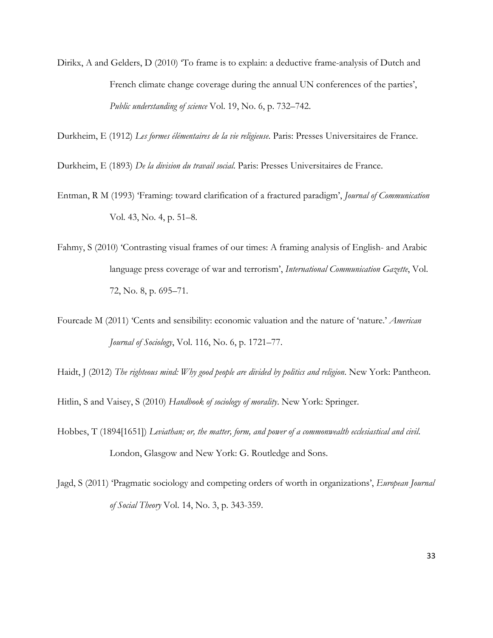Dirikx, A and Gelders, D (2010) 'To frame is to explain: a deductive frame-analysis of Dutch and French climate change coverage during the annual UN conferences of the parties', *Public understanding of science* Vol. 19, No. 6, p. 732–742.

Durkheim, E (1912) *Les formes élémentaires de la vie religieuse*. Paris: Presses Universitaires de France.

Durkheim, E (1893) *De la division du travail social*. Paris: Presses Universitaires de France.

- Entman, R M (1993) 'Framing: toward clarification of a fractured paradigm', *Journal of Communication* Vol. 43, No. 4, p. 51–8.
- Fahmy, S (2010) 'Contrasting visual frames of our times: A framing analysis of English- and Arabic language press coverage of war and terrorism', *International Communication Gazette*, Vol. 72, No. 8, p. 695–71.
- Fourcade M (2011) 'Cents and sensibility: economic valuation and the nature of 'nature.' *American Journal of Sociology*, Vol. 116, No. 6, p. 1721–77.
- Haidt, J (2012) *The righteous mind: Why good people are divided by politics and religion*. New York: Pantheon.

Hitlin, S and Vaisey, S (2010) *Handbook of sociology of morality*. New York: Springer.

- Hobbes, T (1894[1651]) *Leviathan; or, the matter, form, and power of a commonwealth ecclesiastical and civil*. London, Glasgow and New York: G. Routledge and Sons.
- Jagd, S (2011) 'Pragmatic sociology and competing orders of worth in organizations', *European Journal of Social Theory* Vol. 14, No. 3, p. 343-359.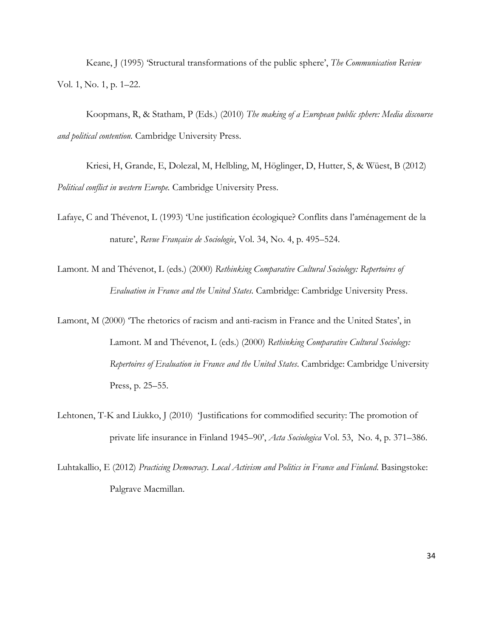Keane, J (1995) 'Structural transformations of the public sphere', *The Communication Review* Vol. 1, No. 1, p. 1–22.

Koopmans, R, & Statham, P (Eds.) (2010) *The making of a European public sphere: Media discourse and political contention.* Cambridge University Press.

Kriesi, H, Grande, E, Dolezal, M, Helbling, M, Höglinger, D, Hutter, S, & Wüest, B (2012) *Political conflict in western Europe.* Cambridge University Press.

- Lafaye, C and Thévenot, L (1993) 'Une justification écologique? Conflits dans l'aménagement de la nature', *Revue Française de Sociologie*, Vol. 34, No. 4, p. 495–524.
- Lamont. M and Thévenot, L (eds.) (2000) *Rethinking Comparative Cultural Sociology: Repertoires of Evaluation in France and the United States.* Cambridge: Cambridge University Press.
- Lamont, M (2000) 'The rhetorics of racism and anti-racism in France and the United States', in Lamont. M and Thévenot, L (eds.) (2000) *Rethinking Comparative Cultural Sociology: Repertoires of Evaluation in France and the United States*. Cambridge: Cambridge University Press, p. 25–55.
- Lehtonen, T-K and Liukko, J (2010) 'Justifications for commodified security: The promotion of private life insurance in Finland 1945–90', *Acta Sociologica* Vol. 53, No. 4, p. 371–386.
- Luhtakallio, E (2012) *Practicing Democracy. Local Activism and Politics in France and Finland*. Basingstoke: Palgrave Macmillan.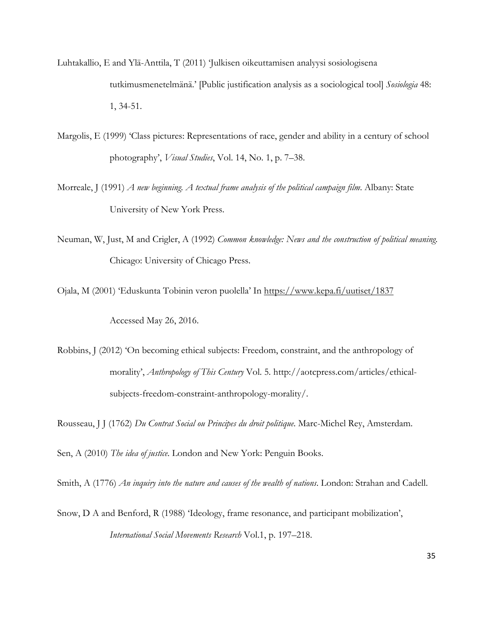- Luhtakallio, E and Ylä-Anttila, T (2011) 'Julkisen oikeuttamisen analyysi sosiologisena tutkimusmenetelmänä.' [Public justification analysis as a sociological tool] *Sosiologia* 48: 1, 34-51.
- Margolis, E (1999) 'Class pictures: Representations of race, gender and ability in a century of school photography', *Visual Studies*, Vol. 14, No. 1, p. 7–38.
- Morreale, J (1991) *A new beginning. A textual frame analysis of the political campaign film*. Albany: State University of New York Press.
- Neuman, W, Just, M and Crigler, A (1992) *Common knowledge: News and the construction of political meaning.*  Chicago: University of Chicago Press.

Ojala, M (2001) 'Eduskunta Tobinin veron puolella' In https://www.kepa.fi/uutiset/1837 Accessed May 26, 2016.

Robbins, J (2012) 'On becoming ethical subjects: Freedom, constraint, and the anthropology of morality', *Anthropology of This Century* Vol. 5*.* http://aotcpress.com/articles/ethicalsubjects-freedom-constraint-anthropology-morality/.

Rousseau, J J (1762) *Du Contrat Social ou Principes du droit politique*. Marc-Michel Rey, Amsterdam.

Sen, A (2010) *The idea of justice*. London and New York: Penguin Books.

Smith, A (1776) *An inquiry into the nature and causes of the wealth of nations*. London: Strahan and Cadell.

Snow, D A and Benford, R (1988) 'Ideology, frame resonance, and participant mobilization', *International Social Movements Research* Vol.1, p. 197–218.